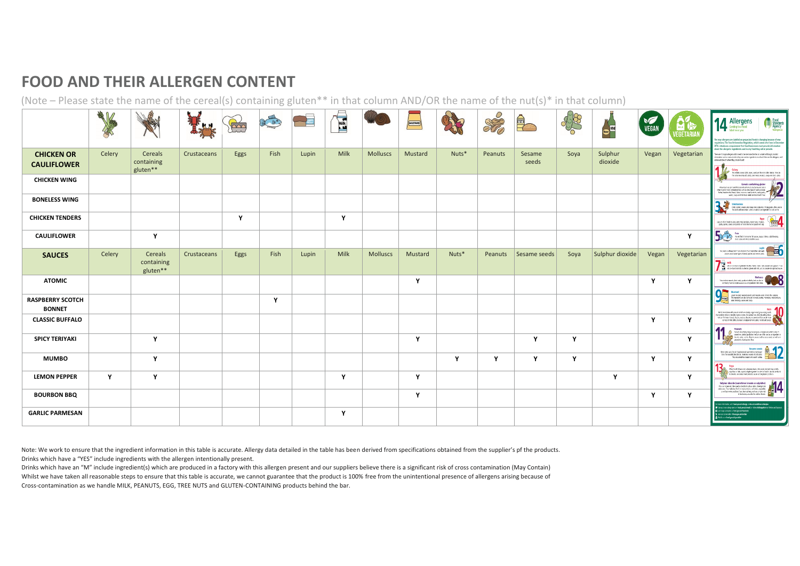## **FOOD AND THEIR ALLERGEN CONTENT**

(Note – Please state the name of the cereal(s) containing gluten\*\* in that column AND/OR the name of the nut(s)\* in that column)

|                                          | 一緒<br>博会<br>K |                                   |             | <b>DO</b>    | Les Co | <b>Lupin</b><br>Flour | <b>ASSES</b> |                 | MUSTARD      |       | SES            |                 | 000  | <b>Code WINE</b>   | <b>VEGAN</b> | <b>MILK</b><br><b><i>JEGETARIA</i></b> | <b>THE Food</b><br>Standards<br>Agency<br><b>1 A</b> Allergens<br>Coming to a food<br>label near you<br>he way allergens are labelled on prepacked foods is changing because of new<br>egulations. The Food Information Regulation, which comes into force in December                                                                                                                                                                                                                                   |
|------------------------------------------|---------------|-----------------------------------|-------------|--------------|--------|-----------------------|--------------|-----------------|--------------|-------|----------------|-----------------|------|--------------------|--------------|----------------------------------------|----------------------------------------------------------------------------------------------------------------------------------------------------------------------------------------------------------------------------------------------------------------------------------------------------------------------------------------------------------------------------------------------------------------------------------------------------------------------------------------------------------|
| <b>CHICKEN OR</b><br><b>CAULIFLOWER</b>  | Celery        | Cereals<br>containing<br>gluten** | Crustaceans | Eggs         | Fish   | Lupin                 | Milk         | <b>Molluscs</b> | Mustard      | Nuts* | Peanuts        | Sesame<br>seeds | Soya | Sulphur<br>dioxide | Vegan        | Vegetarian                             | 014, introduces a requirement that food businesses must provide information<br>about the allergenic ingredients used in any food they sell or provide.<br>There are 14 major allergers which need to be mentioned (either on a label or through provided<br>information such as menus) when they are used as ingredients in a food. Here are the allergens, and<br>some exemples of where they can be found:<br>Celery<br>This includes celery staks, leaves, seeds and the monicalled celeriac, You can |
| <b>CHICKEN WING</b>                      |               |                                   |             |              |        |                       |              |                 |              |       |                |                 |      |                    |              |                                        | find celey in celey salt, saleds, some meat products, soups and stock cubes.<br><b>Cereals containing gluten</b><br>Wheat (such as spot and Khorssan wheatKamut), rye, bariey and oats is<br>ofsen found in foods containing fiture such as some tipes of baking powder,<br>batter, breadcrumbs, bread, cakes, coussous, meet products, peeta, party,<br>series, sources, source and fried foods which are dusted with finus.                                                                            |
| <b>BONELESS WING</b>                     |               |                                   |             |              |        |                       |              |                 |              |       |                |                 |      |                    |              |                                        | <b>CONTRACT CONTRACT CONTRACT CONTRACT CONTRACT CONTRACT CONTRACT CONTRACT CONTRACT CONTRACT CONTRACT CONTRACT CONTRACT CONTRACT CONTRACT CONTRACT CONTRACT CONTRACT CONTRACT CONTRACT CONTRACT CONTRACT CONTRACT CONTRACT CONTR</b>                                                                                                                                                                                                                                                                     |
| <b>CHICKEN TENDERS</b>                   |               |                                   |             | $\mathbf{Y}$ |        |                       | Y            |                 |              |       |                |                 |      |                    |              |                                        | Eggs (<br>Liggs are often found in cakes, some meat products, mayornesise, mates on the company pasts, quicks, saves and pertities or foods brushed or glassed with eqs.                                                                                                                                                                                                                                                                                                                                 |
| <b>CAULIFLOWER</b>                       |               | Y                                 |             |              |        |                       |              |                 |              |       |                |                 |      |                    |              | $\mathbf{Y}$                           | $\begin{picture}(120,10) \put(0,0){\line(1,0){10}} \put(0,0){\line(1,0){10}} \put(0,0){\line(1,0){10}} \put(0,0){\line(1,0){10}} \put(0,0){\line(1,0){10}} \put(0,0){\line(1,0){10}} \put(0,0){\line(1,0){10}} \put(0,0){\line(1,0){10}} \put(0,0){\line(1,0){10}} \put(0,0){\line(1,0){10}} \put(0,0){\line(1,0){10}} \put(0,0){\line(1,0){10}} \put(0$                                                                                                                                                 |
| <b>SAUCES</b>                            | Celery        | Cereals<br>containing<br>gluten** | Crustaceans | Eggs         | Fish   | Lupin                 | Milk         | <b>Molluscs</b> | Mustard      | Nuts* | <b>Peanuts</b> | Sesame seeds    | Soya | Sulphur dioxide    | Vegan        | Vegetarian                             | <b>Lupin</b><br>Yet, layin is a flower, but its absolute in four lupin flour and seeds<br>can be used in some types of beach, packing and even in packing<br>Milk<br>Mik is a mmonifyeded in turks cheve, men, wilk possies and popular it can<br>also be found in foods bushed or glassically milk, and in powdered supplied source.                                                                                                                                                                    |
| <b>ATOMIC</b>                            |               |                                   |             |              |        |                       |              |                 | $\mathbf{Y}$ |       |                |                 |      |                    | $\mathbf v$  | $\mathbf{Y}$                           | Molluses<br>between the State of Contract of Contract Contract Contract Contract Contract Contract Contract Contract Contract Contract Contract Contract Contract Contract Contract Contract Contract Contract Contract Contract<br>These induce muscle, land snale, squid and wheles, but can also be commonly found in oyster sauce or as an ingredient in fish stove                                                                                                                                  |
| <b>RASPBERRY SCOTCH</b><br><b>BONNET</b> |               |                                   |             |              | Y      |                       |              |                 |              |       |                |                 |      |                    |              |                                        | Mustard<br>Level motard, mustard pooler and mustard screb (all mis the category,<br>The importance allows and horsels, curine, manualise, materialise,<br>sale diversify, course and coups,<br>Nuts &<br>Not to be nistaken with pean ats is high-are actually a legame and grow underground).                                                                                                                                                                                                           |
| <b>CLASSIC BUFFALO</b>                   |               |                                   |             |              |        |                       |              |                 |              |       |                |                 |      |                    | Y            | Y                                      | this impedient releas to note which grow on trees, like castew nats, almosts and hazehuts. You can find mats in breads, biscuits, crackers, dut genetics (efter used in Palan<br>carries), strifted delns, ice cream, matchan (almond paste), nut oils and sauces.<br>Peanuts                                                                                                                                                                                                                            |
| <b>SPICY TERIYAKI</b>                    |               | Y                                 |             |              |        |                       |              |                 | $\mathbf{Y}$ |       |                | Y               | Y    |                    |              | $\mathbf{Y}$                           | <b>The Community of Start And Start And Start And Start And Start And Start And Start And Start And Start And Start And Start And Start And Start And Start And Start And Start And Start And Start And Start And Start And Star</b>                                                                                                                                                                                                                                                                     |
| <b>MUMBO</b>                             |               | Y                                 |             |              |        |                       |              |                 |              | Y     | Y              | $\mathbf{v}$    | Y    |                    | v            | $\mathbf{v}$                           | Sesame seeds<br>New years can often be found in bend by initial on fundance<br>Lives for example, because the monogroup and states are constituted.<br>They are sensitive to task are constituted.<br>Sova                                                                                                                                                                                                                                                                                               |
| <b>LEMON PEPPER</b>                      | Y             | Y                                 |             |              |        |                       | Y            |                 | $\mathbf{Y}$ |       |                |                 |      | $\mathbf v$        |              | $\mathbf{Y}$                           | Often found in bean and, edename beans, rike path, festured siga profeits, and four or totus and a stephen profession in oriental food. It can also be found<br>in deserts, ice cream, meat products, sauces and vegetarian products.                                                                                                                                                                                                                                                                    |
| <b>BOURBON BBQ</b>                       |               |                                   |             |              |        |                       |              |                 | Y            |       |                |                 |      |                    | $\mathbf v$  | Y                                      | suppose crossed (sometimes known as suppliets)<br>This can have been stated and acceler subsequent $\mathcal{L}$<br>and points supposed and acceler in a state probably of most suppose and a method of the material of decisions acce                                                                                                                                                                                                                                                                   |
| <b>GARLIC PARMESAN</b>                   |               |                                   |             |              |        |                       | Y            |                 |              |       |                |                 |      |                    |              |                                        | information, visit: food.gov.uk/allergy.or nhs.uk/conditions/allergies<br>Sign up to cur alongy alors on food, gov.uk/email, or follow AAllengyAlert on Twitter and Fi<br>El tets keep connected at food.gov.uk/facebook<br>L Joh cur conversition @facd.gov.uk/twitter<br>With a m food aou k vortube                                                                                                                                                                                                   |

Note: We work to ensure that the ingredient information in this table is accurate. Allergy data detailed in the table has been derived from specifications obtained from the supplier's pf the products. Drinks which have a "YES" include ingredients with the allergen intentionally present.

Drinks which have an "M" include ingredient(s) which are produced in a factory with this allergen present and our suppliers believe there is a significant risk of cross contamination (May Contain) Whilst we have taken all reasonable steps to ensure that this table is accurate, we cannot guarantee that the product is 100% free from the unintentional presence of allergens arising because of Cross-contamination as we handle MILK, PEANUTS, EGG, TREE NUTS and GLUTEN-CONTAINING products behind the bar.